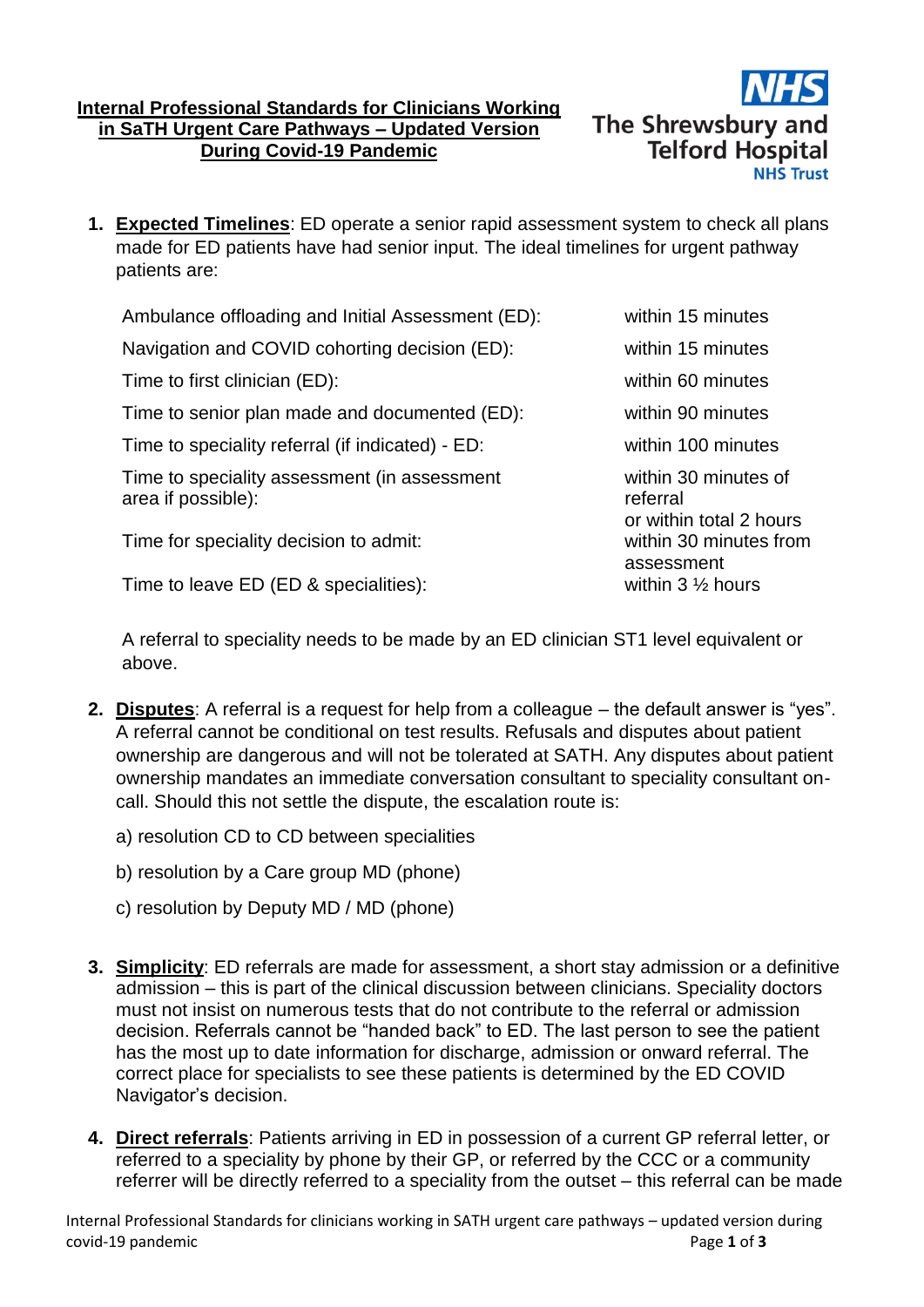## **Internal Professional Standards for Clinicians Working in SaTH Urgent Care Pathways – Updated Version During Covid-19 Pandemic**



**1. Expected Timelines**: ED operate a senior rapid assessment system to check all plans made for ED patients have had senior input. The ideal timelines for urgent pathway patients are:

Ambulance offloading and Initial Assessment (ED): within 15 minutes Navigation and COVID cohorting decision (ED): within 15 minutes Time to first clinician (ED): within 60 minutes Time to senior plan made and documented (ED): within 90 minutes Time to speciality referral (if indicated) - ED: within 100 minutes Time to speciality assessment (in assessment within 30 minutes of area if possible): referral Time for speciality decision to admit: within 30 minutes from

Time to leave ED (ED & specialities): within 3 1/2 hours

or within total 2 hours assessment

A referral to speciality needs to be made by an ED clinician ST1 level equivalent or above.

- **2. Disputes**: A referral is a request for help from a colleague the default answer is "yes". A referral cannot be conditional on test results. Refusals and disputes about patient ownership are dangerous and will not be tolerated at SATH. Any disputes about patient ownership mandates an immediate conversation consultant to speciality consultant oncall. Should this not settle the dispute, the escalation route is:
	- a) resolution CD to CD between specialities
	- b) resolution by a Care group MD (phone)
	- c) resolution by Deputy MD / MD (phone)
- **3. Simplicity**: ED referrals are made for assessment, a short stay admission or a definitive admission – this is part of the clinical discussion between clinicians. Speciality doctors must not insist on numerous tests that do not contribute to the referral or admission decision. Referrals cannot be "handed back" to ED. The last person to see the patient has the most up to date information for discharge, admission or onward referral. The correct place for specialists to see these patients is determined by the ED COVID Navigator's decision.
- **4. Direct referrals**: Patients arriving in ED in possession of a current GP referral letter, or referred to a speciality by phone by their GP, or referred by the CCC or a community referrer will be directly referred to a speciality from the outset – this referral can be made

Internal Professional Standards for clinicians working in SATH urgent care pathways – updated version during covid-19 pandemic Page **1** of **3**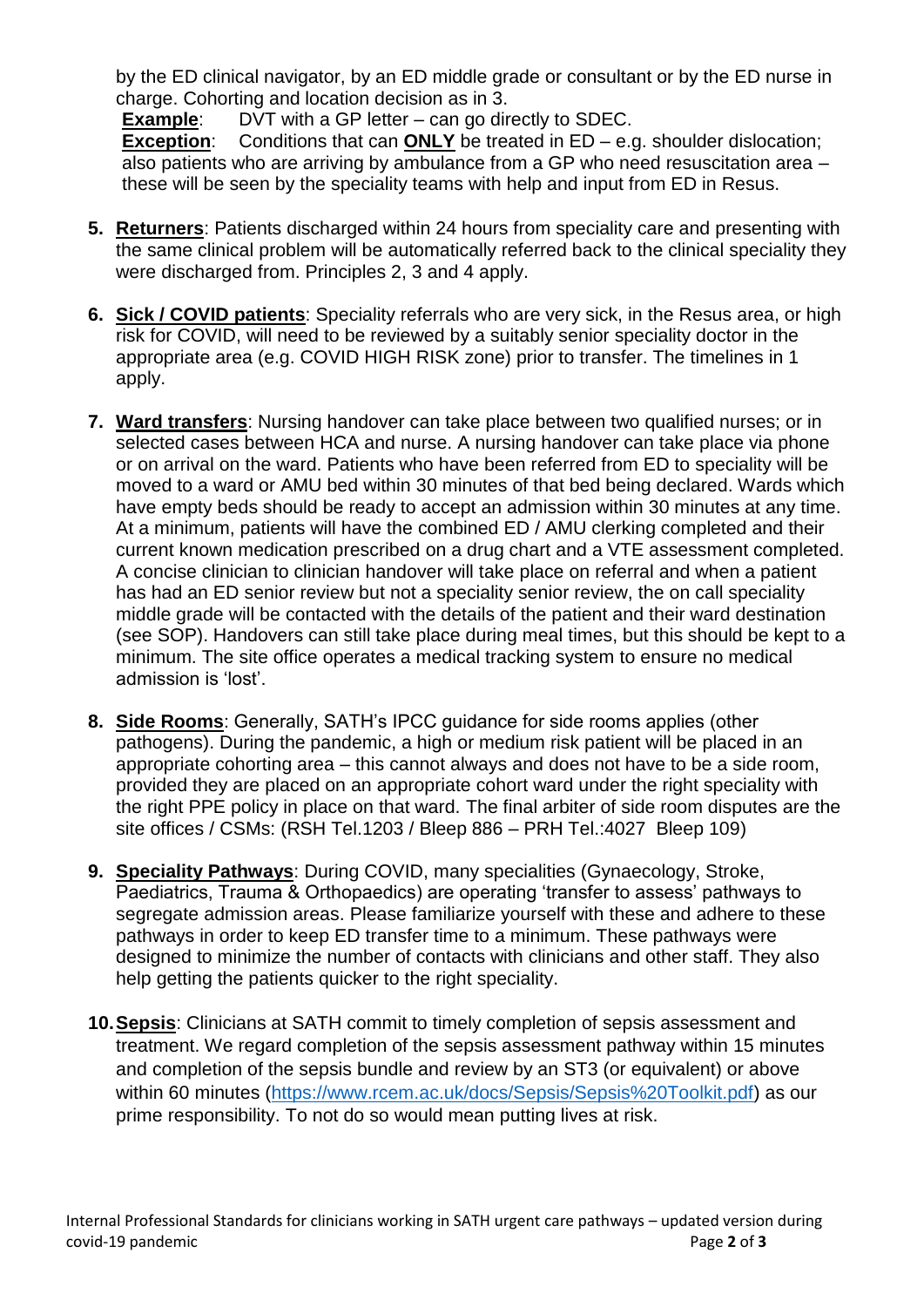by the ED clinical navigator, by an ED middle grade or consultant or by the ED nurse in charge. Cohorting and location decision as in 3.

**Example:** DVT with a GP letter – can go directly to SDEC. **Exception**: Conditions that can **ONLY** be treated in ED – e.g. shoulder dislocation; also patients who are arriving by ambulance from a GP who need resuscitation area – these will be seen by the speciality teams with help and input from ED in Resus.

- **5. Returners**: Patients discharged within 24 hours from speciality care and presenting with the same clinical problem will be automatically referred back to the clinical speciality they were discharged from. Principles 2, 3 and 4 apply.
- **6. Sick / COVID patients**: Speciality referrals who are very sick, in the Resus area, or high risk for COVID, will need to be reviewed by a suitably senior speciality doctor in the appropriate area (e.g. COVID HIGH RISK zone) prior to transfer. The timelines in 1 apply.
- **7. Ward transfers**: Nursing handover can take place between two qualified nurses; or in selected cases between HCA and nurse. A nursing handover can take place via phone or on arrival on the ward. Patients who have been referred from ED to speciality will be moved to a ward or AMU bed within 30 minutes of that bed being declared. Wards which have empty beds should be ready to accept an admission within 30 minutes at any time. At a minimum, patients will have the combined ED / AMU clerking completed and their current known medication prescribed on a drug chart and a VTE assessment completed. A concise clinician to clinician handover will take place on referral and when a patient has had an ED senior review but not a speciality senior review, the on call speciality middle grade will be contacted with the details of the patient and their ward destination (see SOP). Handovers can still take place during meal times, but this should be kept to a minimum. The site office operates a medical tracking system to ensure no medical admission is 'lost'.
- **8. Side Rooms**: Generally, SATH's IPCC guidance for side rooms applies (other pathogens). During the pandemic, a high or medium risk patient will be placed in an appropriate cohorting area – this cannot always and does not have to be a side room, provided they are placed on an appropriate cohort ward under the right speciality with the right PPE policy in place on that ward. The final arbiter of side room disputes are the site offices / CSMs: (RSH Tel.1203 / Bleep 886 – PRH Tel.:4027 Bleep 109)
- **9. Speciality Pathways**: During COVID, many specialities (Gynaecology, Stroke, Paediatrics, Trauma & Orthopaedics) are operating 'transfer to assess' pathways to segregate admission areas. Please familiarize yourself with these and adhere to these pathways in order to keep ED transfer time to a minimum. These pathways were designed to minimize the number of contacts with clinicians and other staff. They also help getting the patients quicker to the right speciality.
- **10.Sepsis**: Clinicians at SATH commit to timely completion of sepsis assessment and treatment. We regard completion of the sepsis assessment pathway within 15 minutes and completion of the sepsis bundle and review by an ST3 (or equivalent) or above within 60 minutes [\(https://www.rcem.ac.uk/docs/Sepsis/Sepsis%20Toolkit.pdf\)](https://www.rcem.ac.uk/docs/Sepsis/Sepsis%20Toolkit.pdf) as our prime responsibility. To not do so would mean putting lives at risk.